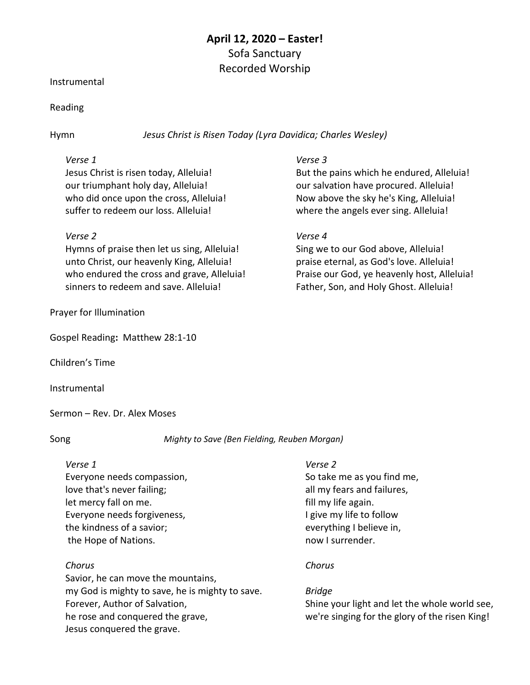# **April 12, 2020 – Easter!** Sofa Sanctuary Recorded Worship

#### Instrumental

### Reading

Hymn *Jesus Christ is Risen Today (Lyra Davidica; Charles Wesley)*

## *Verse 1*

Jesus Christ is risen today, Alleluia! our triumphant holy day, Alleluia! who did once upon the cross, Alleluia! suffer to redeem our loss. Alleluia!

## *Verse 2*

Hymns of praise then let us sing, Alleluia! unto Christ, our heavenly King, Alleluia! who endured the cross and grave, Alleluia! sinners to redeem and save. Alleluia!

## Prayer for Illumination

Gospel Reading**:** Matthew 28:1-10

Children's Time

Instrumental

Sermon – Rev. Dr. Alex Moses

Song *Mighty to Save (Ben Fielding, Reuben Morgan)*

### *Verse 1* Everyone needs compassion, love that's never failing; let mercy fall on me.

Everyone needs forgiveness, the kindness of a savior; the Hope of Nations.

## *Chorus*

Savior, he can move the mountains, my God is mighty to save, he is mighty to save. Forever, Author of Salvation, he rose and conquered the grave, Jesus conquered the grave.

## *Verse 3*

But the pains which he endured, Alleluia! our salvation have procured. Alleluia! Now above the sky he's King, Alleluia! where the angels ever sing. Alleluia!

## *Verse 4*

Sing we to our God above, Alleluia! praise eternal, as God's love. Alleluia! Praise our God, ye heavenly host, Alleluia! Father, Son, and Holy Ghost. Alleluia!

## *Verse 2*

So take me as you find me, all my fears and failures, fill my life again. I give my life to follow everything I believe in, now I surrender.

## *Chorus*

## *Bridge*

Shine your light and let the whole world see, we're singing for the glory of the risen King!